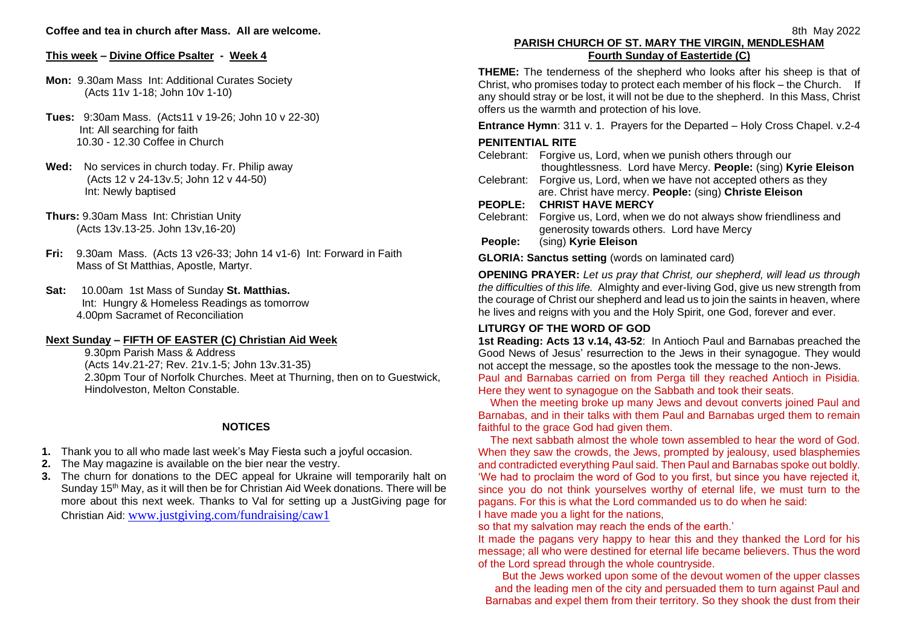## **This week – Divine Office Psalter - Week 4**

- **Mon:** 9.30am Mass Int: Additional Curates Society (Acts 11v 1-18; John 10v 1-10)
- **Tues:** 9:30am Mass. (Acts11 v 19-26; John 10 v 22-30) Int: All searching for faith 10.30 - 12.30 Coffee in Church
- **Wed:** No services in church today. Fr. Philip away (Acts 12 v 24-13v.5; John 12 v 44-50) Int: Newly baptised
- **Thurs:** 9.30am Mass Int: Christian Unity (Acts 13v.13-25. John 13v,16-20)
- **Fri:** 9.30am Mass. (Acts 13 v26-33; John 14 v1-6) Int: Forward in Faith Mass of St Matthias, Apostle, Martyr.
- **Sat:** 10.00am 1st Mass of Sunday **St. Matthias.** Int: Hungry & Homeless Readings as tomorrow 4.00pm Sacramet of Reconciliation

## **Next Sunday – FIFTH OF EASTER (C) Christian Aid Week**

9.30pm Parish Mass & Address (Acts 14v.21-27; Rev. 21v.1-5; John 13v.31-35) 2.30pm Tour of Norfolk Churches. Meet at Thurning, then on to Guestwick, Hindolveston, Melton Constable.

## **NOTICES**

- **1.** Thank you to all who made last week's May Fiesta such a joyful occasion.
- **2.** The May magazine is available on the bier near the vestry.
- **3.** The churn for donations to the DEC appeal for Ukraine will temporarily halt on Sunday 15<sup>th</sup> May, as it will then be for Christian Aid Week donations. There will be more about this next week. Thanks to Val for setting up a JustGiving page for Christian Aid: [www.justgiving.com/fundraising/caw1](http://www.justgiving.com/fundraising/caw1)

# **PARISH CHURCH OF ST. MARY THE VIRGIN, MENDLESHAM Fourth Sunday of Eastertide (C)**

**THEME:** The tenderness of the shepherd who looks after his sheep is that of Christ, who promises today to protect each member of his flock – the Church. If any should stray or be lost, it will not be due to the shepherd. In this Mass, Christ offers us the warmth and protection of his love.

**Entrance Hymn**: 311 v. 1. Prayers for the Departed – Holy Cross Chapel. v.2-4

## **PENITENTIAL RITE**

|                                                          | Celebrant: Forgive us, Lord, when we punish others through our        |  |
|----------------------------------------------------------|-----------------------------------------------------------------------|--|
|                                                          | thoughtlessness. Lord have Mercy. People: (sing) Kyrie Eleison        |  |
|                                                          | Celebrant: Forgive us, Lord, when we have not accepted others as they |  |
|                                                          | are. Christ have mercy. People: (sing) Christe Eleison                |  |
|                                                          | PEOPLE: CHRIST HAVE MERCY                                             |  |
| Celebrant:                                               | Forgive us, Lord, when we do not always show friendliness and         |  |
|                                                          | generosity towards others. Lord have Mercy                            |  |
| People:                                                  | (sing) Kyrie Eleison                                                  |  |
| <b>GLORIA: Sanctus setting (words on laminated card)</b> |                                                                       |  |
|                                                          |                                                                       |  |

**OPENING PRAYER:** *Let us pray that Christ, our shepherd, will lead us through the difficulties of this life.* Almighty and ever-living God, give us new strength from the courage of Christ our shepherd and lead us to join the saints in heaven, where he lives and reigns with you and the Holy Spirit, one God, forever and ever.

#### **LITURGY OF THE WORD OF GOD**

**1st Reading: Acts 13 v.14, 43-52**: In Antioch Paul and Barnabas preached the Good News of Jesus' resurrection to the Jews in their synagogue. They would not accept the message, so the apostles took the message to the non-Jews. Paul and Barnabas carried on from Perga till they reached Antioch in Pisidia. Here they went to synagogue on the Sabbath and took their seats.

 When the meeting broke up many Jews and devout converts joined Paul and Barnabas, and in their talks with them Paul and Barnabas urged them to remain faithful to the grace God had given them.

 The next sabbath almost the whole town assembled to hear the word of God. When they saw the crowds, the Jews, prompted by jealousy, used blasphemies and contradicted everything Paul said. Then Paul and Barnabas spoke out boldly. 'We had to proclaim the word of God to you first, but since you have rejected it, since you do not think yourselves worthy of eternal life, we must turn to the pagans. For this is what the Lord commanded us to do when he said:

I have made you a light for the nations,

so that my salvation may reach the ends of the earth.'

It made the pagans very happy to hear this and they thanked the Lord for his message; all who were destined for eternal life became believers. Thus the word of the Lord spread through the whole countryside.

 But the Jews worked upon some of the devout women of the upper classes and the leading men of the city and persuaded them to turn against Paul and Barnabas and expel them from their territory. So they shook the dust from their